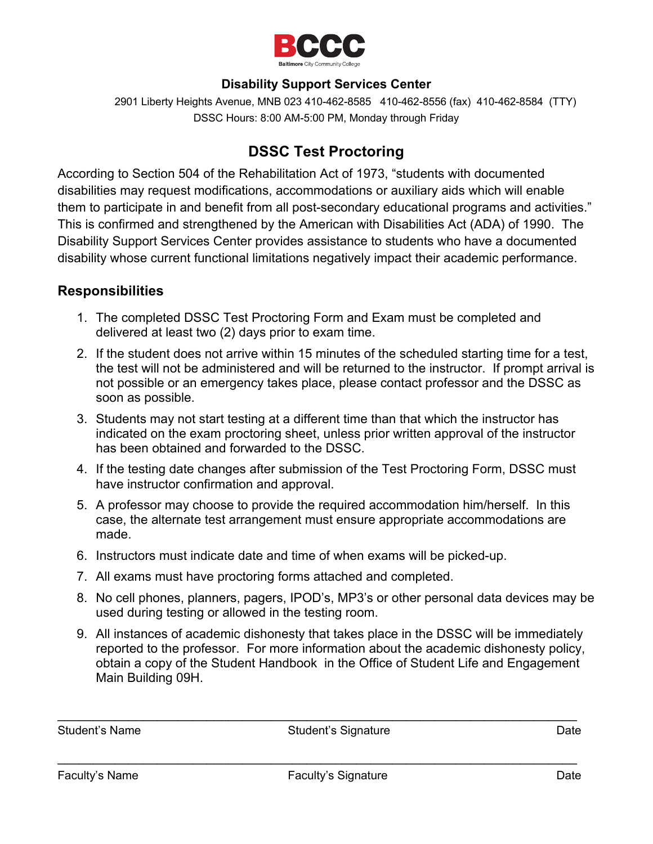

## **Disability Support Services Center**

2901 Liberty Heights Avenue, MNB 023 410-462-8585 410-462-8556 (fax) 410-462-8584 (TTY) DSSC Hours: 8:00 AM-5:00 PM, Monday through Friday

## **DSSC Test Proctoring**

According to Section 504 of the Rehabilitation Act of 1973, "students with documented disabilities may request modifications, accommodations or auxiliary aids which will enable them to participate in and benefit from all post-secondary educational programs and activities." This is confirmed and strengthened by the American with Disabilities Act (ADA) of 1990. The Disability Support Services Center provides assistance to students who have a documented disability whose current functional limitations negatively impact their academic performance.

## **Responsibilities**

- 1. The completed DSSC Test Proctoring Form and Exam must be completed and delivered at least two (2) days prior to exam time.
- 2. If the student does not arrive within 15 minutes of the scheduled starting time for a test, the test will not be administered and will be returned to the instructor. If prompt arrival is not possible or an emergency takes place, please contact professor and the DSSC as soon as possible.
- 3. Students may not start testing at a different time than that which the instructor has indicated on the exam proctoring sheet, unless prior written approval of the instructor has been obtained and forwarded to the DSSC.
- 4. If the testing date changes after submission of the Test Proctoring Form, DSSC must have instructor confirmation and approval.
- 5. A professor may choose to provide the required accommodation him/herself. In this case, the alternate test arrangement must ensure appropriate accommodations are made.
- 6. Instructors must indicate date and time of when exams will be picked-up.
- 7. All exams must have proctoring forms attached and completed.
- 8. No cell phones, planners, pagers, IPOD's, MP3's or other personal data devices may be used during testing or allowed in the testing room.
- 9. All instances of academic dishonesty that takes place in the DSSC will be immediately reported to the professor. For more information about the academic dishonesty policy, obtain a copy of the Student Handbook in the Office of Student Life and Engagement Main Building 09H.

Student's Name **Student's Signature** Communications are a controlled by the Student's Signature Communications of the Date

\_\_\_\_\_\_\_\_\_\_\_\_\_\_\_\_\_\_\_\_\_\_\_\_\_\_\_\_\_\_\_\_\_\_\_\_\_\_\_\_\_\_\_\_\_\_\_\_\_\_\_\_\_\_\_\_\_\_\_\_\_\_\_\_\_\_\_\_\_\_\_\_\_

 $\mathcal{L}_\text{max}$  , and the contract of the contract of the contract of the contract of the contract of the contract of the contract of the contract of the contract of the contract of the contract of the contract of the contr